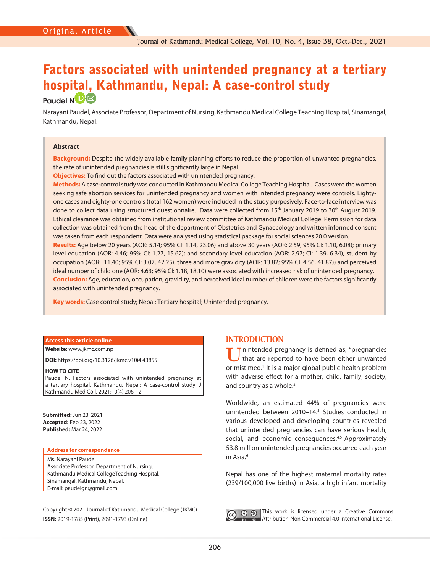# Factors associated with unintended pregnancy at a tertiary hospi[ta](https://orcid.org/0000-0001-5785-2712)[l,](mailto:paudelgn@gmail.com) Kathmandu, Nepal: A case-control study Paudel N**D**

Narayani Paudel, Associate Professor, Department of Nursing, Kathmandu Medical College Teaching Hospital, Sinamangal, Kathmandu, Nepal.

#### **Abstract**

**Background:** Despite the widely available family planning efforts to reduce the proportion of unwanted pregnancies, the rate of unintended pregnancies is still significantly large in Nepal.

**Objectives:** To find out the factors associated with unintended pregnancy.

**Methods:** A case-control study was conducted in Kathmandu Medical College Teaching Hospital. Cases were the women seeking safe abortion services for unintended pregnancy and women with intended pregnancy were controls. Eightyone cases and eighty-one controls (total 162 women) were included in the study purposively. Face-to-face interview was done to collect data using structured questionnaire. Data were collected from 15<sup>th</sup> January 2019 to 30<sup>th</sup> August 2019. Ethical clearance was obtained from institutional review committee of Kathmandu Medical College. Permission for data collection was obtained from the head of the department of Obstetrics and Gynaecology and written informed consent was taken from each respondent. Data were analysed using statistical package for social sciences 20.0 version. **Results:** Age below 20 years (AOR: 5.14; 95% CI: 1.14, 23.06) and above 30 years (AOR: 2.59; 95% CI: 1.10, 6.08); primary level education (AOR: 4.46; 95% CI: 1.27, 15.62); and secondary level education (AOR: 2.97; CI: 1.39, 6.34), student by occupation (AOR: 11.40; 95% CI: 3.07, 42.25), three and more gravidity (AOR: 13.82; 95% CI: 4.56, 41.87)) and perceived ideal number of child one (AOR: 4.63; 95% CI: 1.18, 18.10) were associated with increased risk of unintended pregnancy. **Conclusion:** Age, education, occupation, gravidity, and perceived ideal number of children were the factors significantly associated with unintended pregnancy.

**Key words:** Case control study; Nepal; Tertiary hospital; Unintended pregnancy.

#### **Access this article online**

**Website:** [www.jkmc.com.np](http://www.jkmc.com.np)

**DOI:** https://doi.org/10.3126/jkmc.v10i4.43855

#### **HOW TO CITE**

Paudel N. Factors associated with unintended pregnancy at a tertiary hospital, Kathmandu, Nepal: A case-control study. J Kathmandu Med Coll. 2021;10(4):206-12.

**Submitted:** Jun 23, 2021 **Accepted:** Feb 23, 2022 **Published:** Mar 24, 2022

#### **Address for correspondence**

Ms. Narayani Paudel Associate Professor, Department of Nursing, Kathmandu Medical CollegeTeaching Hospital, Sinamangal, Kathmandu, Nepal. E-mail: [paudelgn@gmail.com](mailto:paudelgn@gmail.com)

Copyright © 2021 Journal of Kathmandu Medical College (JKMC) **ISSN:** 2019-1785 (Print), 2091-1793 (Online)

#### **INTRODUCTION**

Inintended pregnancy is defined as, "pregnancies that are reported to have been either unwanted or mistimed.<sup>1</sup> It is a major global public health problem with adverse effect for a mother, child, family, society, and country as a whole.<sup>2</sup>

Worldwide, an estimated 44% of pregnancies were unintended between 2010-14.<sup>3</sup> Studies conducted in various developed and developing countries revealed that unintended pregnancies can have serious health, social, and economic consequences.<sup>4,5</sup> Approximately 53.8 million unintended pregnancies occurred each year in Asia.<sup>6</sup>

Nepal has one of the highest maternal mortality rates (239/100,000 live births) in Asia, a high infant mortality



**1** This work is licensed under a Creative Commons Attribution-Non Commercial 4.0 International License.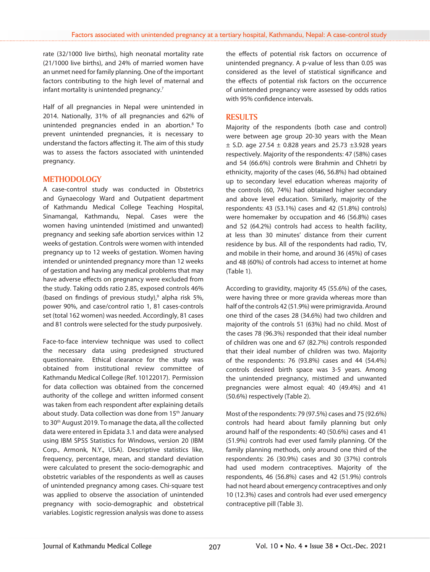rate (32/1000 live births), high neonatal mortality rate (21/1000 live births), and 24% of married women have an unmet need for family planning. One of the important factors contributing to the high level of maternal and infant mortality is unintended pregnancy.<sup>7</sup>

Half of all pregnancies in Nepal were unintended in 2014. Nationally, 31% of all pregnancies and 62% of unintended pregnancies ended in an abortion.8 To prevent unintended pregnancies, it is necessary to understand the factors affecting it. The aim of this study was to assess the factors associated with unintended pregnancy.

# **Methodology**

A case-control study was conducted in Obstetrics and Gynaecology Ward and Outpatient department of Kathmandu Medical College Teaching Hospital, Sinamangal, Kathmandu, Nepal. Cases were the women having unintended (mistimed and unwanted) pregnancy and seeking safe abortion services within 12 weeks of gestation. Controls were women with intended pregnancy up to 12 weeks of gestation. Women having intended or unintended pregnancy more than 12 weeks of gestation and having any medical problems that may have adverse effects on pregnancy were excluded from the study. Taking odds ratio 2.85, exposed controls 46% (based on findings of previous study),<sup>9</sup> alpha risk 5%, power 90%, and case/control ratio 1, 81 cases-controls set (total 162 women) was needed. Accordingly, 81 cases and 81 controls were selected for the study purposively.

Face-to-face interview technique was used to collect the necessary data using predesigned structured questionnaire. Ethical clearance for the study was obtained from institutional review committee of Kathmandu Medical College (Ref. 10122017). Permission for data collection was obtained from the concerned authority of the college and written informed consent was taken from each respondent after explaining details about study. Data collection was done from 15<sup>th</sup> January to 30th August 2019. To manage the data, all the collected data were entered in Epidata 3.1 and data were analysed using IBM SPSS Statistics for Windows, version 20 (IBM Corp., Armonk, N.Y., USA). Descriptive statistics like, frequency, percentage, mean, and standard deviation were calculated to present the socio-demographic and obstetric variables of the respondents as well as causes of unintended pregnancy among cases. Chi-square test was applied to observe the association of unintended pregnancy with socio-demographic and obstetrical variables. Logistic regression analysis was done to assess

the effects of potential risk factors on occurrence of unintended pregnancy. A p-value of less than 0.05 was considered as the level of statistical significance and the effects of potential risk factors on the occurrence of unintended pregnancy were assessed by odds ratios with 95% confidence intervals.

# **Results**

Majority of the respondents (both case and control) were between age group 20-30 years with the Mean  $\pm$  S.D. age 27.54  $\pm$  0.828 years and 25.73  $\pm$ 3.928 years respectively. Majority of the respondents: 47 (58%) cases and 54 (66.6%) controls were Brahmin and Chhetri by ethnicity, majority of the cases (46, 56.8%) had obtained up to secondary level education whereas majority of the controls (60, 74%) had obtained higher secondary and above level education. Similarly, majority of the respondents: 43 (53.1%) cases and 42 (51.8%) controls) were homemaker by occupation and 46 (56.8%) cases and 52 (64.2%) controls had access to health facility, at less than 30 minutes' distance from their current residence by bus. All of the respondents had radio, TV, and mobile in their home, and around 36 (45%) of cases and 48 (60%) of controls had access to internet at home (Table 1).

According to gravidity, majority 45 (55.6%) of the cases, were having three or more gravida whereas more than half of the controls 42 (51.9%) were primigravida. Around one third of the cases 28 (34.6%) had two children and majority of the controls 51 (63%) had no child. Most of the cases 78 (96.3%) responded that their ideal number of children was one and 67 (82.7%) controls responded that their ideal number of children was two. Majority of the respondents: 76 (93.8%) cases and 44 (54.4%) controls desired birth space was 3-5 years. Among the unintended pregnancy, mistimed and unwanted pregnancies were almost equal: 40 (49.4%) and 41 (50.6%) respectively (Table 2).

Most of the respondents: 79 (97.5%) cases and 75 (92.6%) controls had heard about family planning but only around half of the respondents: 40 (50.6%) cases and 41 (51.9%) controls had ever used family planning. Of the family planning methods, only around one third of the respondents: 26 (30.9%) cases and 30 (37%) controls had used modern contraceptives. Majority of the respondents, 46 (56.8%) cases and 42 (51.9%) controls had not heard about emergency contraceptives and only 10 (12.3%) cases and controls had ever used emergency contraceptive pill (Table 3).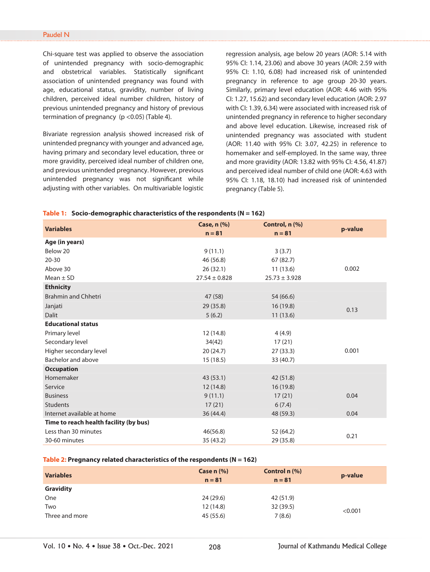Chi-square test was applied to observe the association of unintended pregnancy with socio-demographic and obstetrical variables. Statistically significant association of unintended pregnancy was found with age, educational status, gravidity, number of living children, perceived ideal number children, history of previous unintended pregnancy and history of previous termination of pregnancy (p <0.05) (Table 4).

Bivariate regression analysis showed increased risk of unintended pregnancy with younger and advanced age, having primary and secondary level education, three or more gravidity, perceived ideal number of children one, and previous unintended pregnancy. However, previous unintended pregnancy was not significant while adjusting with other variables. On multivariable logistic

regression analysis, age below 20 years (AOR: 5.14 with 95% CI: 1.14, 23.06) and above 30 years (AOR: 2.59 with 95% CI: 1.10, 6.08) had increased risk of unintended pregnancy in reference to age group 20-30 years. Similarly, primary level education (AOR: 4.46 with 95% CI: 1.27, 15.62) and secondary level education (AOR: 2.97 with CI: 1.39, 6.34) were associated with increased risk of unintended pregnancy in reference to higher secondary and above level education. Likewise, increased risk of unintended pregnancy was associated with student (AOR: 11.40 with 95% CI: 3.07, 42.25) in reference to homemaker and self-employed. In the same way, three and more gravidity (AOR: 13.82 with 95% CI: 4.56, 41.87) and perceived ideal number of child one (AOR: 4.63 with 95% CI: 1.18, 18.10) had increased risk of unintended pregnancy (Table 5).

#### **Table 1: Socio-demographic characteristics of the respondents (N = 162)**

| <b>Variables</b>                       | <b>Case, n (%)</b><br>$n = 81$ | Control, n (%)<br>$n = 81$ | p-value |
|----------------------------------------|--------------------------------|----------------------------|---------|
| Age (in years)                         |                                |                            |         |
| Below 20                               | 9(11.1)                        | 3(3.7)                     |         |
| $20 - 30$                              | 46 (56.8)                      | 67(82.7)                   |         |
| Above 30                               | 26(32.1)                       | 11(13.6)                   | 0.002   |
| Mean $\pm$ SD                          | $27.54 \pm 0.828$              | $25.73 \pm 3.928$          |         |
| <b>Ethnicity</b>                       |                                |                            |         |
| <b>Brahmin and Chhetri</b>             | 47 (58)                        | 54 (66.6)                  |         |
| Janjati                                | 29(35.8)                       | 16(19.8)                   | 0.13    |
| <b>Dalit</b>                           | 5(6.2)                         | 11(13.6)                   |         |
| <b>Educational status</b>              |                                |                            |         |
| Primary level                          | 12 (14.8)                      | 4(4.9)                     |         |
| Secondary level                        | 34(42)                         | 17(21)                     |         |
| Higher secondary level                 | 20(24.7)                       | 27(33.3)                   | 0.001   |
| Bachelor and above                     | 15(18.5)                       | 33 (40.7)                  |         |
| <b>Occupation</b>                      |                                |                            |         |
| Homemaker                              | 43 (53.1)                      | 42 (51.8)                  |         |
| Service                                | 12(14.8)                       | 16(19.8)                   |         |
| <b>Business</b>                        | 9(11.1)                        | 17(21)                     | 0.04    |
| <b>Students</b>                        | 17(21)                         | 6(7.4)                     |         |
| Internet available at home             | 36(44.4)                       | 48 (59.3)                  | 0.04    |
| Time to reach health facility (by bus) |                                |                            |         |
| Less than 30 minutes                   | 46(56.8)                       | 52 (64.2)                  | 0.21    |
| 30-60 minutes                          | 35 (43.2)                      | 29 (35.8)                  |         |

## **Table 2: Pregnancy related characteristics of the respondents (N = 162)**

| <b>Variables</b> | Case $n$ $%$<br>$n = 81$ | Control n (%)<br>$n = 81$ | p-value |
|------------------|--------------------------|---------------------------|---------|
| <b>Gravidity</b> |                          |                           |         |
| One              | 24 (29.6)                | 42 (51.9)                 |         |
| Two              | 12 (14.8)                | 32 (39.5)                 | < 0.001 |
| Three and more   | 45 (55.6)                | 7(8.6)                    |         |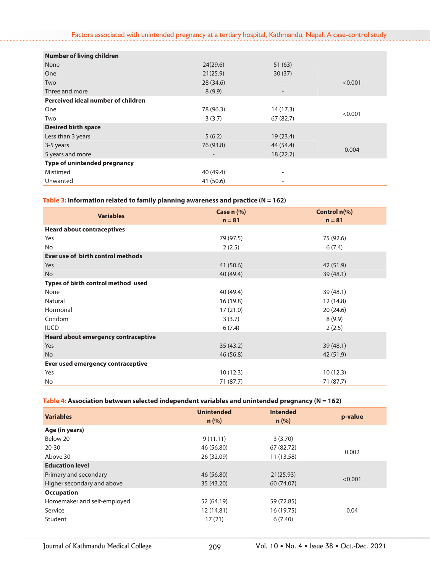| <b>Number of living children</b>   |           |                          |         |
|------------------------------------|-----------|--------------------------|---------|
| None                               | 24(29.6)  | 51(63)                   |         |
| <b>One</b>                         | 21(25.9)  | 30(37)                   |         |
| Two                                | 28 (34.6) | $\overline{\phantom{0}}$ | < 0.001 |
| Three and more                     | 8(9.9)    | $\overline{\phantom{a}}$ |         |
| Perceived ideal number of children |           |                          |         |
| <b>One</b>                         | 78 (96.3) | 14(17.3)                 | < 0.001 |
| Two                                | 3(3.7)    | 67(82.7)                 |         |
| <b>Desired birth space</b>         |           |                          |         |
| Less than 3 years                  | 5(6.2)    | 19(23.4)                 |         |
| 3-5 years                          | 76 (93.8) | 44 (54.4)                | 0.004   |
| 5 years and more                   |           | 18(22.2)                 |         |
| Type of unintended pregnancy       |           |                          |         |
| Mistimed                           | 40 (49.4) | $\overline{\phantom{a}}$ |         |
| Unwanted                           | 41 (50.6) | $\overline{\phantom{a}}$ |         |

## **Table 3: Information related to family planning awareness and practice (N = 162)**

| <b>Variables</b>                           | Case $n$ $(\%)$<br>$n = 81$ | Control n(%)<br>$n = 81$ |
|--------------------------------------------|-----------------------------|--------------------------|
| <b>Heard about contraceptives</b>          |                             |                          |
| Yes                                        | 79 (97.5)                   | 75 (92.6)                |
| <b>No</b>                                  | 2(2.5)                      | 6(7.4)                   |
| Ever use of birth control methods          |                             |                          |
| Yes                                        | 41 (50.6)                   | 42 (51.9)                |
| <b>No</b>                                  | 40 (49.4)                   | 39(48.1)                 |
| Types of birth control method used         |                             |                          |
| None                                       | 40 (49.4)                   | 39 (48.1)                |
| Natural                                    | 16 (19.8)                   | 12 (14.8)                |
| Hormonal                                   | 17(21.0)                    | 20(24.6)                 |
| Condom                                     | 3(3.7)                      | 8(9.9)                   |
| <b>IUCD</b>                                | 6(7.4)                      | 2(2.5)                   |
| <b>Heard about emergency contraceptive</b> |                             |                          |
| Yes                                        | 35(43.2)                    | 39(48.1)                 |
| <b>No</b>                                  | 46 (56.8)                   | 42 (51.9)                |
| Ever used emergency contraceptive          |                             |                          |
| Yes                                        | 10(12.3)                    | 10(12.3)                 |
| No                                         | 71 (87.7)                   | 71 (87.7)                |

## **Table 4: Association between selected independent variables and unintended pregnancy (N = 162)**

| <b>Variables</b>            | <b>Unintended</b><br>n(%) | <b>Intended</b><br>n (% ) | p-value |
|-----------------------------|---------------------------|---------------------------|---------|
| Age (in years)              |                           |                           |         |
| Below 20                    | 9(11.11)                  | 3(3.70)                   |         |
| $20 - 30$                   | 46 (56.80)                | 67 (82.72)                | 0.002   |
| Above 30                    | 26 (32.09)                | 11 (13.58)                |         |
| <b>Education level</b>      |                           |                           |         |
| Primary and secondary       | 46 (56.80)                | 21(25.93)                 | < 0.001 |
| Higher secondary and above  | 35 (43.20)                | 60 (74.07)                |         |
| <b>Occupation</b>           |                           |                           |         |
| Homemaker and self-employed | 52 (64.19)                | 59 (72.85)                |         |
| Service                     | 12 (14.81)                | 16 (19.75)                | 0.04    |
| Student                     | 17(21)                    | 6(7.40)                   |         |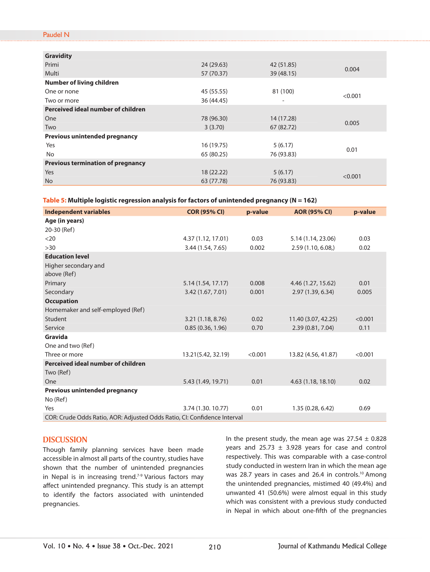#### Paudel N

| <b>Gravidity</b>                         |            |            |         |
|------------------------------------------|------------|------------|---------|
| Primi                                    | 24 (29.63) | 42 (51.85) | 0.004   |
| Multi                                    | 57 (70.37) | 39 (48.15) |         |
| <b>Number of living children</b>         |            |            |         |
| One or none                              | 45 (55.55) | 81 (100)   |         |
| Two or more                              | 36 (44.45) |            | < 0.001 |
| Perceived ideal number of children       |            |            |         |
| One                                      | 78 (96.30) | 14 (17.28) |         |
| Two                                      | 3(3.70)    | 67 (82.72) | 0.005   |
| <b>Previous unintended pregnancy</b>     |            |            |         |
| Yes                                      | 16 (19.75) | 5(6.17)    | 0.01    |
| <b>No</b>                                | 65 (80.25) | 76 (93.83) |         |
| <b>Previous termination of pregnancy</b> |            |            |         |
| Yes                                      | 18 (22.22) | 5(6.17)    |         |
| <b>No</b>                                | 63 (77.78) | 76 (93.83) | < 0.001 |

#### **Table 5: Multiple logistic regression analysis for factors of unintended pregnancy (N = 162)**

| <b>Independent variables</b>                                             | <b>COR (95% CI)</b> | p-value | <b>AOR (95% CI)</b> | p-value |  |
|--------------------------------------------------------------------------|---------------------|---------|---------------------|---------|--|
| Age (in years)                                                           |                     |         |                     |         |  |
| 20-30 (Ref)                                                              |                     |         |                     |         |  |
| <20                                                                      | 4.37 (1.12, 17.01)  | 0.03    | 5.14 (1.14, 23.06)  | 0.03    |  |
| >30                                                                      | 3.44 (1.54, 7.65)   | 0.002   | 2.59(1.10, 6.08)    | 0.02    |  |
| <b>Education level</b>                                                   |                     |         |                     |         |  |
| Higher secondary and                                                     |                     |         |                     |         |  |
| above (Ref)                                                              |                     |         |                     |         |  |
| Primary                                                                  | 5.14 (1.54, 17.17)  | 0.008   | 4.46 (1.27, 15.62)  | 0.01    |  |
| Secondary                                                                | 3.42 (1.67, 7.01)   | 0.001   | 2.97 (1.39, 6.34)   | 0.005   |  |
| <b>Occupation</b>                                                        |                     |         |                     |         |  |
| Homemaker and self-employed (Ref)                                        |                     |         |                     |         |  |
| Student                                                                  | 3.21(1.18, 8.76)    | 0.02    | 11.40 (3.07, 42.25) | < 0.001 |  |
| Service                                                                  | 0.85(0.36, 1.96)    | 0.70    | 2.39 (0.81, 7.04)   | 0.11    |  |
| Gravida                                                                  |                     |         |                     |         |  |
| One and two (Ref)                                                        |                     |         |                     |         |  |
| Three or more                                                            | 13.21(5.42, 32.19)  | < 0.001 | 13.82 (4.56, 41.87) | < 0.001 |  |
| Perceived ideal number of children                                       |                     |         |                     |         |  |
| Two (Ref)                                                                |                     |         |                     |         |  |
| One                                                                      | 5.43 (1.49, 19.71)  | 0.01    | 4.63 (1.18, 18.10)  | 0.02    |  |
| Previous unintended pregnancy                                            |                     |         |                     |         |  |
| No (Ref)                                                                 |                     |         |                     |         |  |
| Yes                                                                      | 3.74 (1.30, 10.77)  | 0.01    | 1.35 (0.28, 6.42)   | 0.69    |  |
| COR: Crude Odds Ratio, AOR: Adjusted Odds Ratio, CI: Confidence Interval |                     |         |                     |         |  |

# **Discussion**

Though family planning services have been made accessible in almost all parts of the country, studies have shown that the number of unintended pregnancies in Nepal is in increasing trend.<sup> $7-9$ </sup> Various factors may affect unintended pregnancy. This study is an attempt to identify the factors associated with unintended pregnancies.

In the present study, the mean age was  $27.54 \pm 0.828$ years and 25.73  $\pm$  3.928 years for case and control respectively. This was comparable with a case-control study conducted in western Iran in which the mean age was 28.7 years in cases and 26.4 in controls.<sup>10</sup> Among the unintended pregnancies, mistimed 40 (49.4%) and unwanted 41 (50.6%) were almost equal in this study which was consistent with a previous study conducted in Nepal in which about one-fifth of the pregnancies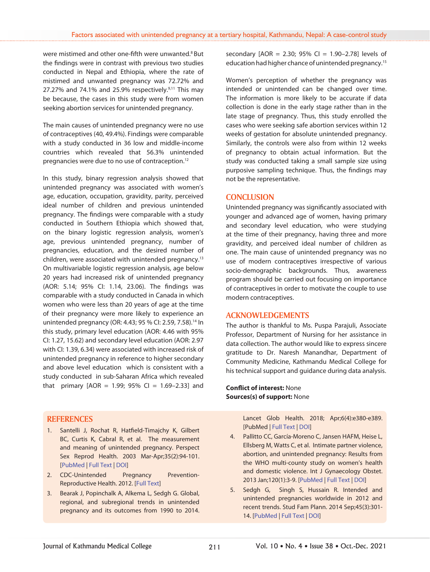were mistimed and other one-fifth were unwanted.<sup>8</sup> But the findings were in contrast with previous two studies conducted in Nepal and Ethiopia, where the rate of mistimed and unwanted pregnancy was 72.72% and 27.27% and 74.1% and 25.9% respectively. $9,11$  This may be because, the cases in this study were from women seeking abortion services for unintended pregnancy.

The main causes of unintended pregnancy were no use of contraceptives (40, 49.4%). Findings were comparable with a study conducted in 36 low and middle-income countries which revealed that 56.3% unintended pregnancies were due to no use of contraception.<sup>12</sup>

In this study, binary regression analysis showed that unintended pregnancy was associated with women's age, education, occupation, gravidity, parity, perceived ideal number of children and previous unintended pregnancy. The findings were comparable with a study conducted in Southern Ethiopia which showed that, on the binary logistic regression analysis, women's age, previous unintended pregnancy, number of pregnancies, education, and the desired number of children, were associated with unintended pregnancy.<sup>13</sup> On multivariable logistic regression analysis, age below 20 years had increased risk of unintended pregnancy (AOR: 5.14; 95% CI: 1.14, 23.06). The findings was comparable with a study conducted in Canada in which women who were less than 20 years of age at the time of their pregnancy were more likely to experience an unintended pregnancy (OR: 4.43; 95 % CI: 2.59, 7.58).14 In this study, primary level education (AOR: 4.46 with 95% CI: 1.27, 15.62) and secondary level education (AOR: 2.97 with CI: 1.39, 6.34) were associated with increased risk of unintended pregnancy in reference to higher secondary and above level education which is consistent with a study conducted in sub-Saharan Africa which revealed that primary  $[AOR = 1.99; 95% CI = 1.69-2.33]$  and

# **References**

- 1. Santelli J, Rochat R, Hatfield-Timajchy K, Gilbert BC, Curtis K, Cabral R, et al. The measurement and meaning of unintended pregnancy. Perspect Sex Reprod Health. 2003 Mar-Apr;35(2):94-101. [P[ubMed](https://pubmed.ncbi.nlm.nih.gov/12729139/) | F[ull Text |](https://onlinelibrary.wiley.com/doi/10.1363/3509403) D[OI\]](https://doi.org/10.1363/3509403)
- 2. CDC-Unintended Pregnancy Prevention-Reproductive Health. 2012. [[Full Text\]](https://www.cdc.gov/reproductivehealth/contraception/unintendedpregnancy/index.htm)
- 3. Bearak J, Popinchalk A, Alkema L, Sedgh G. Global, regional, and subregional trends in unintended pregnancy and its outcomes from 1990 to 2014.

secondary  $[AOR = 2.30; 95\% CI = 1.90-2.78]$  levels of education had higher chance of unintended pregnancy.15

Women's perception of whether the pregnancy was intended or unintended can be changed over time. The information is more likely to be accurate if data collection is done in the early stage rather than in the late stage of pregnancy. Thus, this study enrolled the cases who were seeking safe abortion services within 12 weeks of gestation for absolute unintended pregnancy. Similarly, the controls were also from within 12 weeks of pregnancy to obtain actual information. But the study was conducted taking a small sample size using purposive sampling technique. Thus, the findings may not be the representative.

## **CONCLUSION**

Unintended pregnancy was significantly associated with younger and advanced age of women, having primary and secondary level education, who were studying at the time of their pregnancy, having three and more gravidity, and perceived ideal number of children as one. The main cause of unintended pregnancy was no use of modern contraceptives irrespective of various socio-demographic backgrounds. Thus, awareness program should be carried out focusing on importance of contraceptives in order to motivate the couple to use modern contraceptives.

## **Acknowledgements**

The author is thankful to Ms. Puspa Parajuli, Associate Professor, Department of Nursing for her assistance in data collection. The author would like to express sincere gratitude to Dr. Naresh Manandhar, Department of Community Medicine, Kathmandu Medical College for his technical support and guidance during data analysis.

## **Conflict of interest:** None **Sources(s) of support:** None

Lancet Glob Health. 2018; Apr;6(4):e380-e389. [[PubMed |](https://www.ncbi.nlm.nih.gov/pubmed/29519649) [Full Text |](https://www.thelancet.com/journals/langlo/article/PIIS2214-109X(18)30029-9/fulltext) D[OI\]](https://doi.org/10.1016/s2214-109x(18)30029-9)

- 4. Pallitto CC, García-Moreno C, Jansen HAFM, Heise L, Ellsberg M, Watts C, et al. Intimate partner violence, abortion, and unintended pregnancy: Results from the WHO multi-county study on women's health and domestic violence. Int J Gynaecology Obstet. 2013 Jan;120(1):3-9. [[PubMed](https://pubmed.ncbi.nlm.nih.gov/22959631/) | F[ull Text |](https://obgyn.onlinelibrary.wiley.com/doi/epdf/10.1016/j.ijgo.2012.07.003) D[OI\]](https://doi.org/10.1016/j.ijgo.2012.07.003)
- 5. Sedgh G, Singh S, Hussain R. Intended and unintended pregnancies worldwide in 2012 and recent trends. Stud Fam Plann. 2014 Sep;45(3):301- 14. [[PubMed](https://pubmed.ncbi.nlm.nih.gov/25207494/) | [Full Text |](https://www.jstor.org/stable/24642214) D[OI\]](https://doi.org/10.1111/j.1728-4465.2014.00393.x)